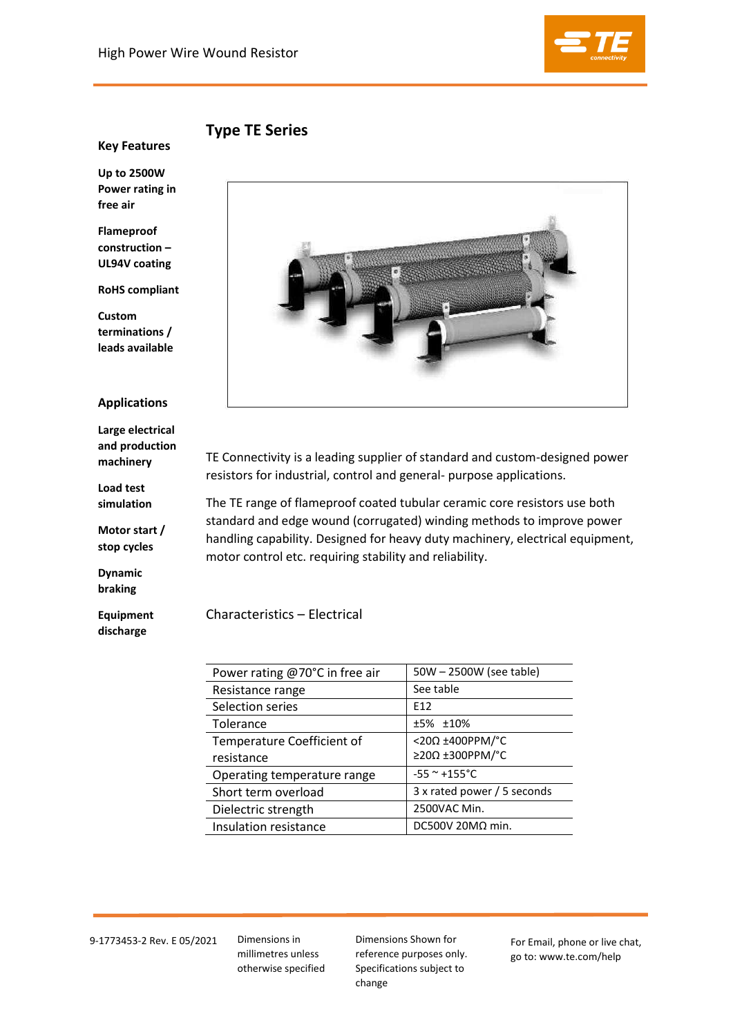

**Type TE Series**

**Key Features** 

**Up to 2500W Power rating in free air** 

**Flameproof construction – UL94V coating** 

**RoHS compliant** 

**Custom terminations / leads available** 

## **Applications**

**Large electrical and production machinery** 

**Load test simulation** 

**Motor start / stop cycles** 

**Dynamic braking** 

**Equipment discharge**



TE Connectivity is a leading supplier of standard and custom-designed power resistors for industrial, control and general- purpose applications.

The TE range of flameproof coated tubular ceramic core resistors use both standard and edge wound (corrugated) winding methods to improve power handling capability. Designed for heavy duty machinery, electrical equipment, motor control etc. requiring stability and reliability.

Characteristics – Electrical

| Power rating @70°C in free air | 50W - 2500W (see table)       |
|--------------------------------|-------------------------------|
| Resistance range               | See table                     |
| Selection series               | F <sub>12</sub>               |
| <b>Tolerance</b>               | ±5% ±10%                      |
| Temperature Coefficient of     | <20Ω ±400PPM/°C               |
| resistance                     | $\geq$ 20 $\Omega$ ±300PPM/°C |
| Operating temperature range    | $-55$ ~ $+155$ °C             |
| Short term overload            | 3 x rated power / 5 seconds   |
| Dielectric strength            | 2500VAC Min.                  |
| Insulation resistance          | DC500V 20M $\Omega$ min.      |

9-1773453-2 Rev. E 05/2021 Dimensions in

millimetres unless otherwise specified Dimensions Shown for reference purposes only. Specifications subject to change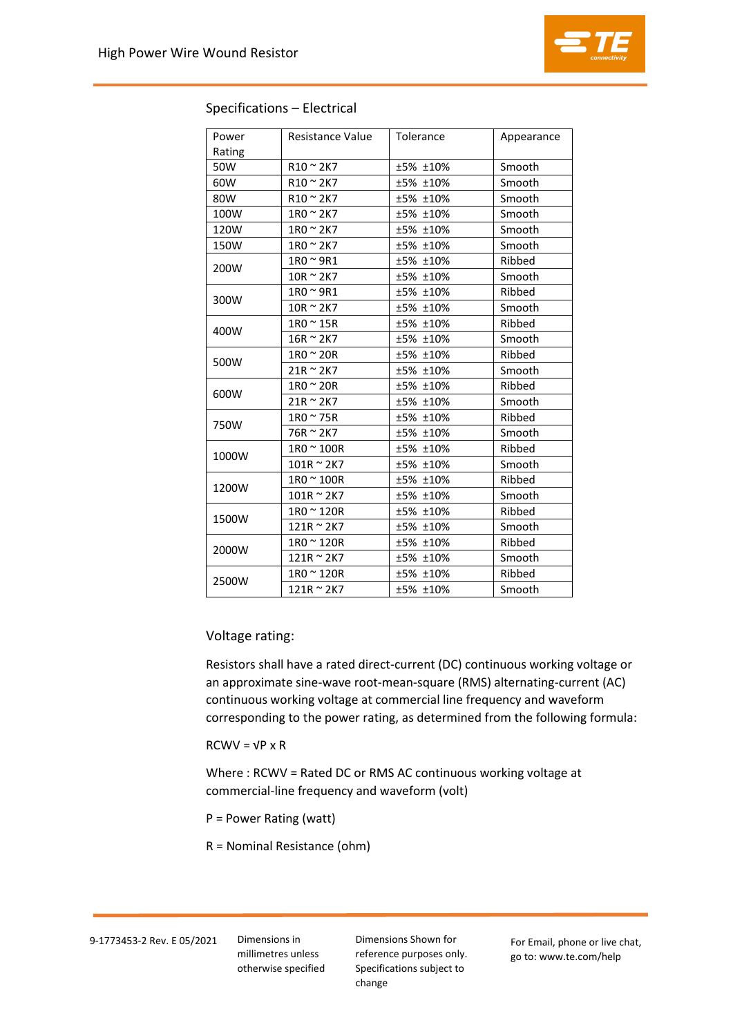

| Power  | Resistance Value   | Tolerance | Appearance |  |  |
|--------|--------------------|-----------|------------|--|--|
| Rating |                    |           |            |  |  |
| 50W    | $R10 \approx 2K7$  | ±5% ±10%  | Smooth     |  |  |
| 60W    | $R10 \approx 2K7$  | ±5% ±10%  | Smooth     |  |  |
| 80W    | $R10 \approx 2K7$  | ±5% ±10%  | Smooth     |  |  |
| 100W   | $1R0 \approx 2K7$  | ±5% ±10%  | Smooth     |  |  |
| 120W   | $1R0 \approx 2K7$  | ±5% ±10%  | Smooth     |  |  |
| 150W   | $1R0 \approx 2K7$  | ±5% ±10%  | Smooth     |  |  |
| 200W   | $1R0 \approx 9R1$  | ±5% ±10%  | Ribbed     |  |  |
|        | $10R \approx 2K7$  | ±5% ±10%  | Smooth     |  |  |
|        | $1R0 \approx 9R1$  | ±5% ±10%  | Ribbed     |  |  |
| 300W   | $10R \approx 2K7$  | ±5% ±10%  | Smooth     |  |  |
| 400W   | $1R0 \approx 15R$  | ±5% ±10%  | Ribbed     |  |  |
|        | $16R \approx 2K7$  | ±5% ±10%  | Smooth     |  |  |
|        | $1R0 \approx 20R$  | ±5% ±10%  | Ribbed     |  |  |
| 500W   | $21R \approx 2K7$  | ±5% ±10%  | Smooth     |  |  |
| 600W   | $1R0 \approx 20R$  | ±5% ±10%  | Ribbed     |  |  |
|        | $21R \approx 2K7$  | ±5% ±10%  | Smooth     |  |  |
| 750W   | $1R0 \approx 75R$  | ±5% ±10%  | Ribbed     |  |  |
|        | 76R ~ 2K7          | ±5% ±10%  | Smooth     |  |  |
| 1000W  | $1R0 \approx 100R$ | ±5% ±10%  | Ribbed     |  |  |
|        | $101R \approx 2K7$ | ±5% ±10%  | Smooth     |  |  |
| 1200W  | $1R0 \approx 100R$ | ±5% ±10%  | Ribbed     |  |  |
|        | $101R \approx 2K7$ | ±5% ±10%  | Smooth     |  |  |
|        | $1R0 \approx 120R$ | ±5% ±10%  | Ribbed     |  |  |
| 1500W  | $121R \approx 2K7$ | ±5% ±10%  | Smooth     |  |  |
| 2000W  | $1R0 \approx 120R$ | ±5% ±10%  | Ribbed     |  |  |
|        | $121R \approx 2K7$ | ±5% ±10%  | Smooth     |  |  |
| 2500W  | 1R0 ~ 120R         | ±5% ±10%  | Ribbed     |  |  |
|        | 121R ~ 2K7         | ±5% ±10%  | Smooth     |  |  |

## Voltage rating:

Resistors shall have a rated direct-current (DC) continuous working voltage or an approximate sine-wave root-mean-square (RMS) alternating-current (AC) continuous working voltage at commercial line frequency and waveform corresponding to the power rating, as determined from the following formula:

 $RCWV = VP \times R$ 

Where : RCWV = Rated DC or RMS AC continuous working voltage at commercial-line frequency and waveform (volt)

- P = Power Rating (watt)
- R = Nominal Resistance (ohm)

## 9-1773453-2 Rev. E 05/2021 Dimensions in

millimetres unless otherwise specified Dimensions Shown for reference purposes only. Specifications subject to change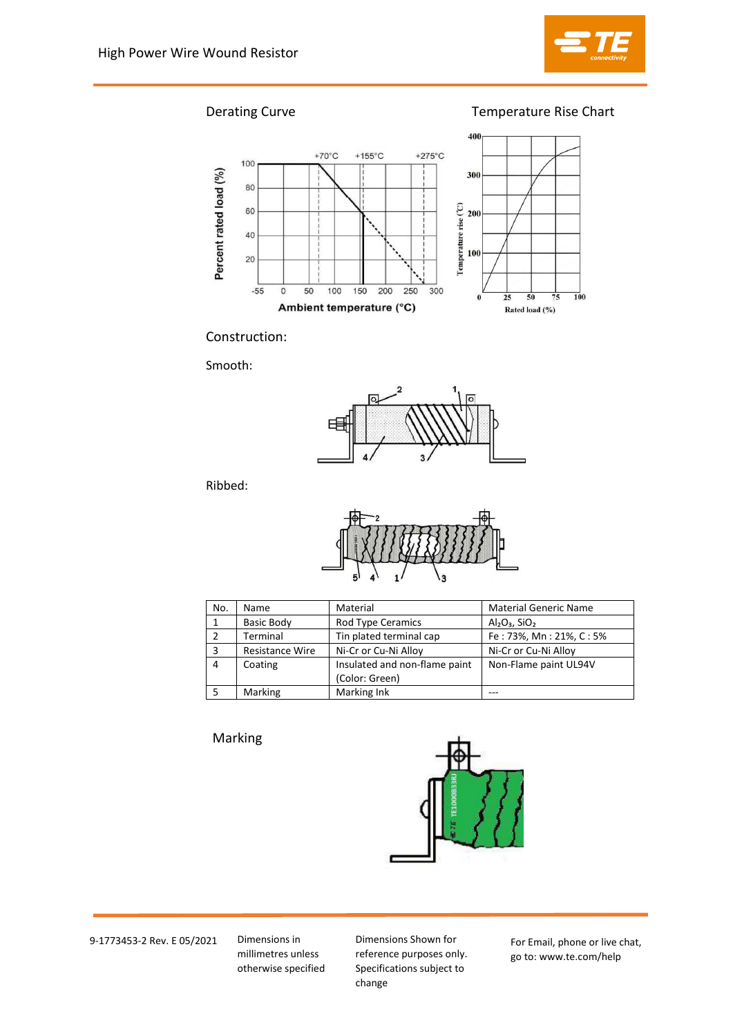

Derating Curve Temperature Rise Chart



Construction:

Smooth:



Ribbed:



| No. | Name                   | Material                                        | <b>Material Generic Name</b> |
|-----|------------------------|-------------------------------------------------|------------------------------|
|     | <b>Basic Body</b>      | Rod Type Ceramics                               | $Al2O3$ , SiO <sub>2</sub>   |
|     | Terminal               | Tin plated terminal cap                         | Fe: 73%, Mn: 21%, C: 5%      |
|     | <b>Resistance Wire</b> | Ni-Cr or Cu-Ni Alloy                            | Ni-Cr or Cu-Ni Alloy         |
| 4   | Coating                | Insulated and non-flame paint<br>(Color: Green) | Non-Flame paint UL94V        |
|     | <b>Marking</b>         | Marking Ink                                     |                              |

# Marking



9-1773453-2 Rev. E 05/2021 Dimensions in

millimetres unless otherwise specified

Dimensions Shown for reference purposes only. Specifications subject to change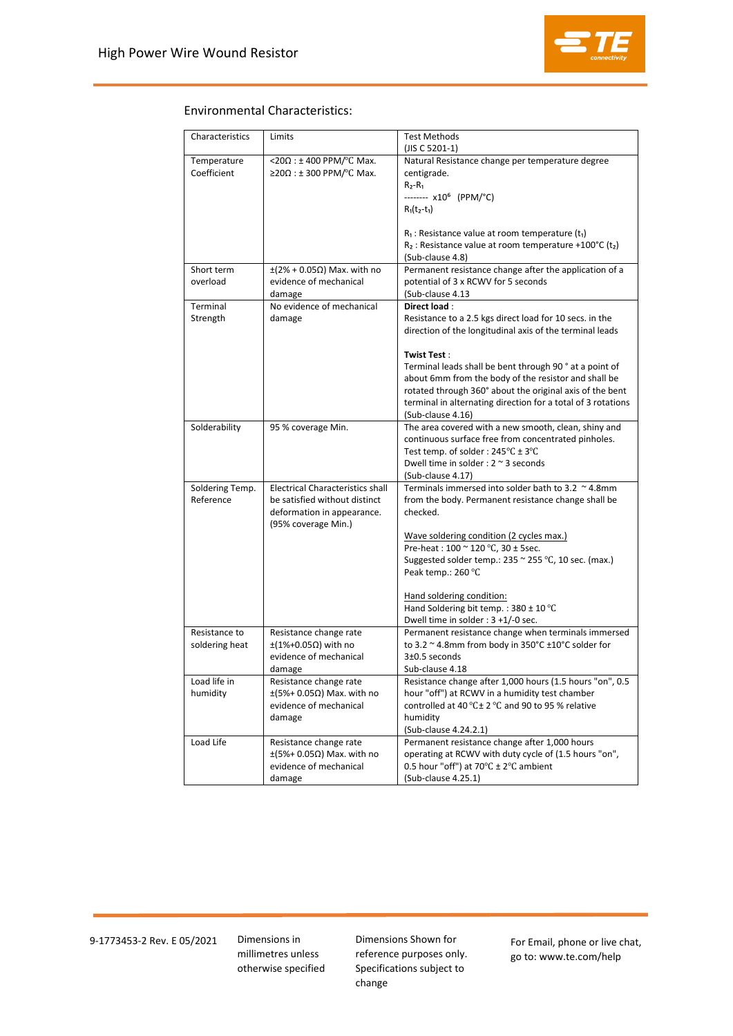

## Environmental Characteristics:

| Characteristics | Limits                                             | <b>Test Methods</b><br>(JIS C 5201-1)                                                                      |
|-----------------|----------------------------------------------------|------------------------------------------------------------------------------------------------------------|
| Temperature     | <20 $\Omega$ : ± 400 PPM/°C Max.                   | Natural Resistance change per temperature degree                                                           |
| Coefficient     | $\geq$ 20Ω : ± 300 PPM/°C Max.                     | centigrade.                                                                                                |
|                 |                                                    | $R_2 - R_1$                                                                                                |
|                 |                                                    | ------- x10 <sup>6</sup> (PPM/°C)                                                                          |
|                 |                                                    | $R_1(t_2-t_1)$                                                                                             |
|                 |                                                    | $R_1$ : Resistance value at room temperature (t <sub>1</sub> )                                             |
|                 |                                                    | $R_2$ : Resistance value at room temperature +100°C (t <sub>2</sub> )                                      |
|                 |                                                    | (Sub-clause 4.8)                                                                                           |
| Short term      | $\pm(2\% + 0.05\Omega)$ Max. with no               | Permanent resistance change after the application of a                                                     |
| overload        | evidence of mechanical                             | potential of 3 x RCWV for 5 seconds                                                                        |
|                 | damage                                             | (Sub-clause 4.13                                                                                           |
| Terminal        | No evidence of mechanical                          | Direct load:                                                                                               |
| Strength        | damage                                             | Resistance to a 2.5 kgs direct load for 10 secs. in the                                                    |
|                 |                                                    | direction of the longitudinal axis of the terminal leads                                                   |
|                 |                                                    | <b>Twist Test:</b>                                                                                         |
|                 |                                                    | Terminal leads shall be bent through 90° at a point of                                                     |
|                 |                                                    | about 6mm from the body of the resistor and shall be                                                       |
|                 |                                                    | rotated through 360° about the original axis of the bent                                                   |
|                 |                                                    | terminal in alternating direction for a total of 3 rotations                                               |
|                 |                                                    | (Sub-clause 4.16)                                                                                          |
| Solderability   | 95 % coverage Min.                                 | The area covered with a new smooth, clean, shiny and                                                       |
|                 |                                                    | continuous surface free from concentrated pinholes.<br>Test temp. of solder: $245^{\circ}C \pm 3^{\circ}C$ |
|                 |                                                    | Dwell time in solder : $2 \approx 3$ seconds                                                               |
|                 |                                                    | (Sub-clause 4.17)                                                                                          |
| Soldering Temp. | <b>Electrical Characteristics shall</b>            | Terminals immersed into solder bath to 3.2 $\sim$ 4.8mm                                                    |
| Reference       | be satisfied without distinct                      | from the body. Permanent resistance change shall be                                                        |
|                 | deformation in appearance.                         | checked.                                                                                                   |
|                 | (95% coverage Min.)                                |                                                                                                            |
|                 |                                                    | Wave soldering condition (2 cycles max.)<br>Pre-heat: 100 ~ 120 °C, 30 ± 5sec.                             |
|                 |                                                    | Suggested solder temp.: $235 \approx 255 \degree C$ , 10 sec. (max.)                                       |
|                 |                                                    | Peak temp.: 260 °C                                                                                         |
|                 |                                                    |                                                                                                            |
|                 |                                                    | Hand soldering condition:                                                                                  |
|                 |                                                    | Hand Soldering bit temp.: 380 ± 10 °C                                                                      |
|                 |                                                    | Dwell time in solder : 3 +1/-0 sec.                                                                        |
| Resistance to   | Resistance change rate                             | Permanent resistance change when terminals immersed                                                        |
| soldering heat  | $\pm$ (1%+0.05Ω) with no<br>evidence of mechanical | to 3.2 ~ 4.8mm from body in 350°C ±10°C solder for<br>$3\pm0.5$ seconds                                    |
|                 | damage                                             | Sub-clause 4.18                                                                                            |
| Load life in    | Resistance change rate                             | Resistance change after 1,000 hours (1.5 hours "on", 0.5                                                   |
| humidity        | $\pm$ (5%+ 0.05 $\Omega$ ) Max. with no            | hour "off") at RCWV in a humidity test chamber                                                             |
|                 | evidence of mechanical                             | controlled at 40 °C± 2 °C and 90 to 95 % relative                                                          |
|                 | damage                                             | humidity                                                                                                   |
|                 |                                                    | (Sub-clause 4.24.2.1)                                                                                      |
| Load Life       | Resistance change rate                             | Permanent resistance change after 1,000 hours                                                              |
|                 | $\pm$ (5%+ 0.05 $\Omega$ ) Max. with no            | operating at RCWV with duty cycle of (1.5 hours "on",                                                      |
|                 | evidence of mechanical                             | 0.5 hour "off") at 70 $\degree$ C ± 2 $\degree$ C ambient                                                  |
|                 | damage                                             | (Sub-clause 4.25.1)                                                                                        |

9-1773453-2 Rev. E 05/2021 Dimensions in

millimetres unless otherwise specified Dimensions Shown for reference purposes only. Specifications subject to change